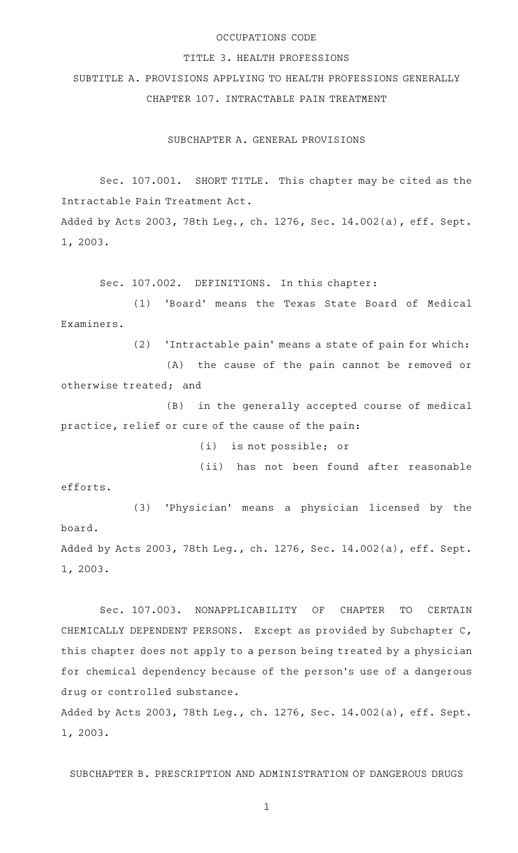#### OCCUPATIONS CODE

#### TITLE 3. HEALTH PROFESSIONS

SUBTITLE A. PROVISIONS APPLYING TO HEALTH PROFESSIONS GENERALLY CHAPTER 107. INTRACTABLE PAIN TREATMENT

SUBCHAPTER A. GENERAL PROVISIONS

Sec. 107.001. SHORT TITLE. This chapter may be cited as the Intractable Pain Treatment Act. Added by Acts 2003, 78th Leg., ch. 1276, Sec. 14.002(a), eff. Sept. 1, 2003.

Sec. 107.002. DEFINITIONS. In this chapter:

(1) 'Board' means the Texas State Board of Medical Examiners.

(2) 'Intractable pain' means a state of pain for which:

(A) the cause of the pain cannot be removed or otherwise treated; and

(B) in the generally accepted course of medical practice, relief or cure of the cause of the pain:

(i) is not possible; or

(ii) has not been found after reasonable

efforts.

(3) 'Physician' means a physician licensed by the board. Added by Acts 2003, 78th Leg., ch. 1276, Sec. 14.002(a), eff. Sept. 1, 2003.

Sec. 107.003. NONAPPLICABILITY OF CHAPTER TO CERTAIN CHEMICALLY DEPENDENT PERSONS. Except as provided by Subchapter C, this chapter does not apply to a person being treated by a physician for chemical dependency because of the person's use of a dangerous drug or controlled substance.

Added by Acts 2003, 78th Leg., ch. 1276, Sec. 14.002(a), eff. Sept. 1, 2003.

SUBCHAPTER B. PRESCRIPTION AND ADMINISTRATION OF DANGEROUS DRUGS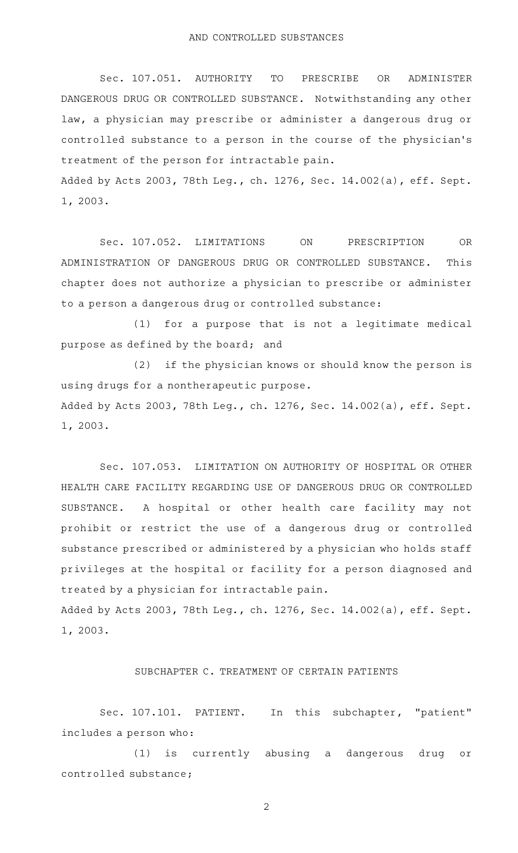Sec. 107.051. AUTHORITY TO PRESCRIBE OR ADMINISTER DANGEROUS DRUG OR CONTROLLED SUBSTANCE. Notwithstanding any other law, a physician may prescribe or administer a dangerous drug or controlled substance to a person in the course of the physician 's treatment of the person for intractable pain.

Added by Acts 2003, 78th Leg., ch. 1276, Sec. 14.002(a), eff. Sept. 1, 2003.

Sec. 107.052. LIMITATIONS ON PRESCRIPTION OR ADMINISTRATION OF DANGEROUS DRUG OR CONTROLLED SUBSTANCE. This chapter does not authorize a physician to prescribe or administer to a person a dangerous drug or controlled substance:

(1) for a purpose that is not a legitimate medical purpose as defined by the board; and

(2) if the physician knows or should know the person is using drugs for a nontherapeutic purpose. Added by Acts 2003, 78th Leg., ch. 1276, Sec. 14.002(a), eff. Sept.

1, 2003.

Sec. 107.053. LIMITATION ON AUTHORITY OF HOSPITAL OR OTHER HEALTH CARE FACILITY REGARDING USE OF DANGEROUS DRUG OR CONTROLLED SUBSTANCE. A hospital or other health care facility may not prohibit or restrict the use of a dangerous drug or controlled substance prescribed or administered by a physician who holds staff privileges at the hospital or facility for a person diagnosed and treated by a physician for intractable pain.

Added by Acts 2003, 78th Leg., ch. 1276, Sec. 14.002(a), eff. Sept. 1, 2003.

## SUBCHAPTER C. TREATMENT OF CERTAIN PATIENTS

Sec. 107.101. PATIENT. In this subchapter, "patient" includes a person who:

(1) is currently abusing a dangerous drug or controlled substance;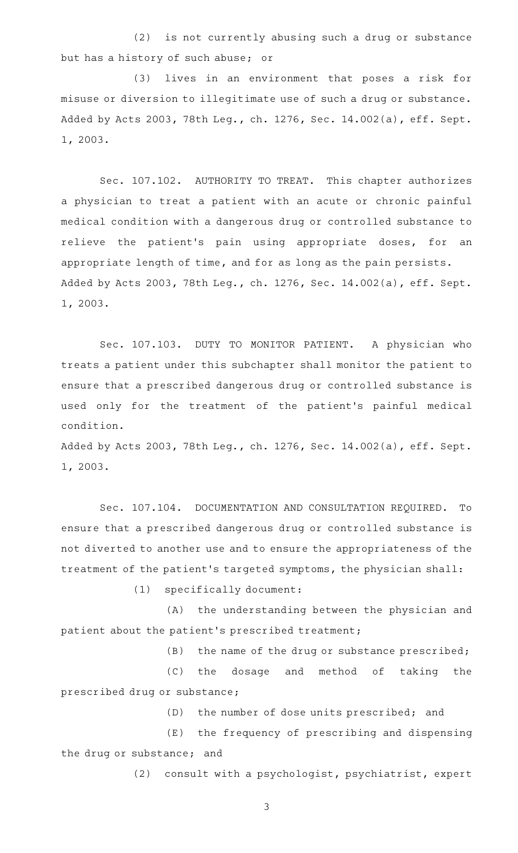(2) is not currently abusing such a drug or substance but has a history of such abuse; or

(3) lives in an environment that poses a risk for misuse or diversion to illegitimate use of such a drug or substance. Added by Acts 2003, 78th Leg., ch. 1276, Sec. 14.002(a), eff. Sept. 1, 2003.

Sec. 107.102. AUTHORITY TO TREAT. This chapter authorizes a physician to treat a patient with an acute or chronic painful medical condition with a dangerous drug or controlled substance to relieve the patient's pain using appropriate doses, for an appropriate length of time, and for as long as the pain persists. Added by Acts 2003, 78th Leg., ch. 1276, Sec. 14.002(a), eff. Sept. 1, 2003.

Sec. 107.103. DUTY TO MONITOR PATIENT. A physician who treats a patient under this subchapter shall monitor the patient to ensure that a prescribed dangerous drug or controlled substance is used only for the treatment of the patient's painful medical condition.

Added by Acts 2003, 78th Leg., ch. 1276, Sec. 14.002(a), eff. Sept. 1, 2003.

Sec. 107.104. DOCUMENTATION AND CONSULTATION REQUIRED. To ensure that a prescribed dangerous drug or controlled substance is not diverted to another use and to ensure the appropriateness of the treatment of the patient 's targeted symptoms, the physician shall:

 $(1)$  specifically document:

(A) the understanding between the physician and patient about the patient 's prescribed treatment;

 $(B)$  the name of the drug or substance prescribed;

(C) the dosage and method of taking the prescribed drug or substance;

(D) the number of dose units prescribed; and

(E) the frequency of prescribing and dispensing the drug or substance; and

(2) consult with a psychologist, psychiatrist, expert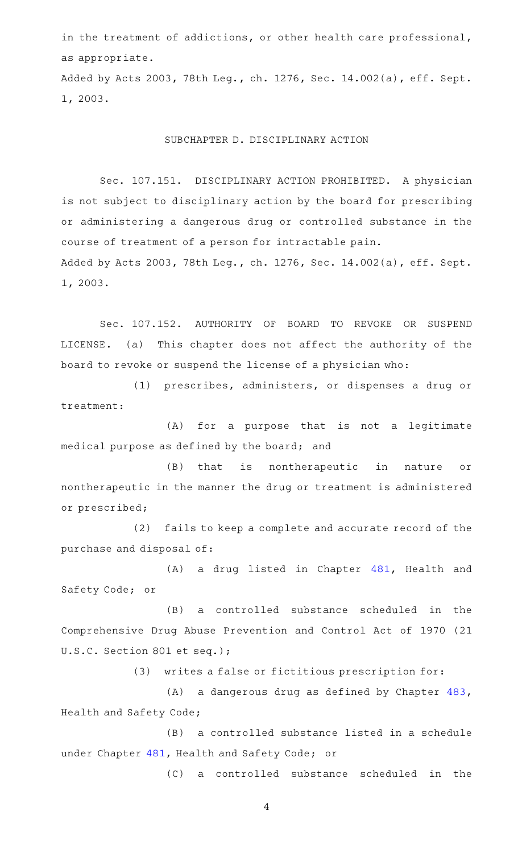in the treatment of addictions, or other health care professional, as appropriate.

Added by Acts 2003, 78th Leg., ch. 1276, Sec. 14.002(a), eff. Sept. 1, 2003.

## SUBCHAPTER D. DISCIPLINARY ACTION

Sec. 107.151. DISCIPLINARY ACTION PROHIBITED. A physician is not subject to disciplinary action by the board for prescribing or administering a dangerous drug or controlled substance in the course of treatment of a person for intractable pain. Added by Acts 2003, 78th Leg., ch. 1276, Sec. 14.002(a), eff. Sept. 1, 2003.

Sec. 107.152. AUTHORITY OF BOARD TO REVOKE OR SUSPEND LICENSE. (a) This chapter does not affect the authority of the board to revoke or suspend the license of a physician who:

(1) prescribes, administers, or dispenses a drug or treatment:

(A) for a purpose that is not a legitimate medical purpose as defined by the board; and

(B) that is nontherapeutic in nature or nontherapeutic in the manner the drug or treatment is administered or prescribed;

(2) fails to keep a complete and accurate record of the purchase and disposal of:

 $(A)$  a drug listed in Chapter  $481$ , Health and Safety Code; or

(B) a controlled substance scheduled in the Comprehensive Drug Abuse Prevention and Control Act of 1970 (21 U.S.C. Section 801 et seq.);

(3) writes a false or fictitious prescription for:

(A) a dangerous drug as defined by Chapter [483](http://www.statutes.legis.state.tx.us/GetStatute.aspx?Code=HS&Value=483), Health and Safety Code;

(B) a controlled substance listed in a schedule under Chapter [481](http://www.statutes.legis.state.tx.us/GetStatute.aspx?Code=HS&Value=481), Health and Safety Code; or

(C) a controlled substance scheduled in the